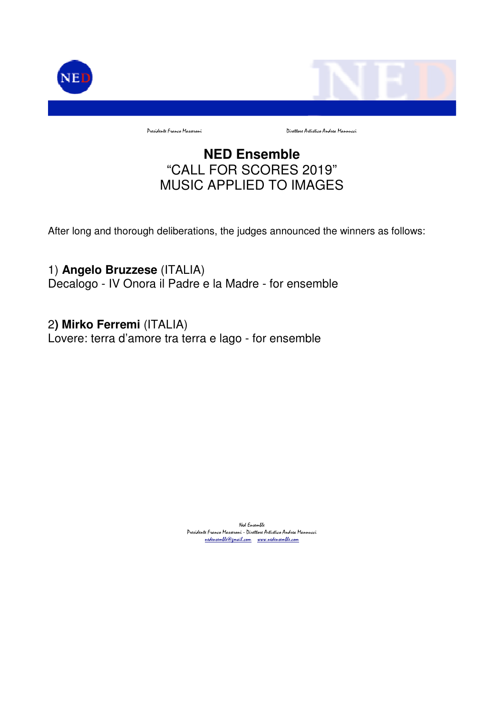

Presidente Franco Masseroni Direttore Artistico Andrea Mannucci

# **NED Ensemble** "CALL FOR SCORES 2019" MUSIC APPLIED TO IMAGES

After long and thorough deliberations, the judges announced the winners as follows:

1) **Angelo Bruzzese** (ITALIA) Decalogo - IV Onora il Padre e la Madre - for ensemble

2**) Mirko Ferremi** (ITALIA) Lovere: terra d'amore tra terra e lago - for ensemble

> Ned Ensemble Presidente Franco Masseroni - Direttore Artistico Andrea Mannucci nedensemble@gmail.com www.nedensemble.com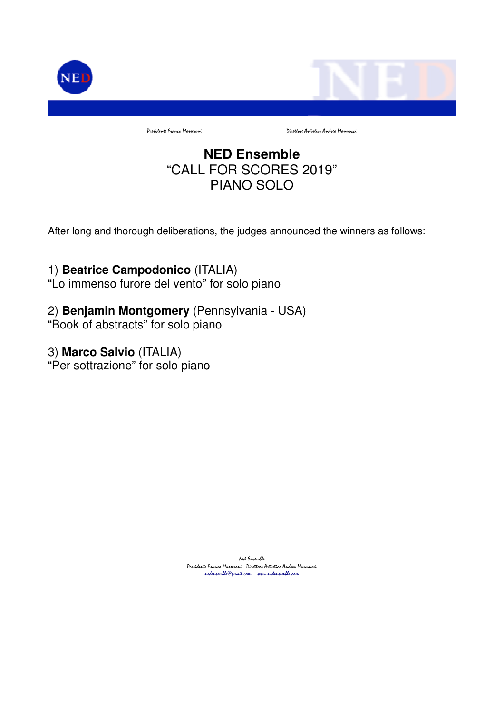

# **NED Ensemble** "CALL FOR SCORES 2019" PIANO SOLO

After long and thorough deliberations, the judges announced the winners as follows:

## 1) **Beatrice Campodonico** (ITALIA)

"Lo immenso furore del vento" for solo piano

### 2) **Benjamin Montgomery** (Pennsylvania - USA)

"Book of abstracts" for solo piano

#### 3) **Marco Salvio** (ITALIA)

"Per sottrazione" for solo piano

Ned Ensemble Presidente Franco Masseroni - Direttore Artistico Andrea Mannucci nedensemble@gmail.com www.nedensemble.com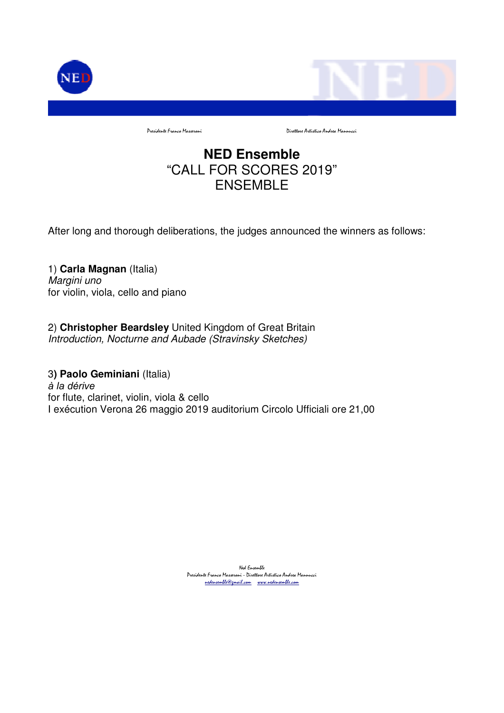

Presidente Franco Masseroni Direttore Artistico Andrea Mannucci

# **NED Ensemble** "CALL FOR SCORES 2019" ENSEMBLE

After long and thorough deliberations, the judges announced the winners as follows:

1) **Carla Magnan** (Italia) Margini uno for violin, viola, cello and piano

2) **Christopher Beardsley** United Kingdom of Great Britain Introduction, Nocturne and Aubade (Stravinsky Sketches)

3**) Paolo Geminiani** (Italia) à la dérive for flute, clarinet, violin, viola & cello I exécution Verona 26 maggio 2019 auditorium Circolo Ufficiali ore 21,00

> Ned Ensemble Presidente Franco Masseroni - Direttore Artistico Andrea Mannucci nedensemble@gmail.com www.nedensemble.com